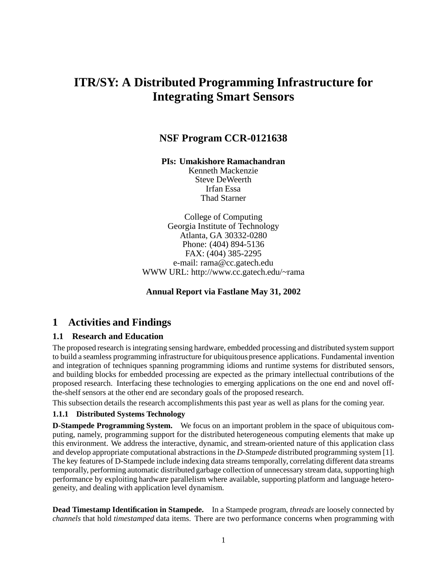# **ITR/SY: A Distributed Programming Infrastructure for Integrating Smart Sensors**

### **NSF Program CCR-0121638**

**PIs: Umakishore Ramachandran**

Kenneth Mackenzie Steve DeWeerth Irfan Essa Thad Starner

College of Computing Georgia Institute of Technology Atlanta, GA 30332-0280 Phone: (404) 894-5136 FAX: (404) 385-2295 e-mail: rama@cc.gatech.edu WWW URL: http://www.cc.gatech.edu/~rama

### **Annual Report via Fastlane May 31, 2002**

### **1 Activities and Findings**

### **1.1 Research and Education**

The proposed research is integrating sensing hardware, embedded processing and distributed system support to build a seamless programming infrastructure for ubiquitous presence applications. Fundamental invention and integration of techniques spanning programming idioms and runtime systems for distributed sensors, and building blocks for embedded processing are expected as the primary intellectual contributions of the proposed research. Interfacing these technologies to emerging applications on the one end and novel offthe-shelf sensors at the other end are secondary goals of the proposed research.

This subsection details the research accomplishments this past year as well as plans for the coming year.

#### **1.1.1 Distributed Systems Technology**

**D-Stampede Programming System.** We focus on an important problem in the space of ubiquitous computing, namely, programming support for the distributed heterogeneous computing elements that make up this environment. We address the interactive, dynamic, and stream-oriented nature of this application class and develop appropriate computational abstractions in the *D-Stampede* distributed programming system [1]. The key features of D-Stampede include indexing data streams temporally, correlating different data streams temporally, performing automatic distributed garbage collection of unnecessary stream data, supporting high performance by exploiting hardware parallelism where available, supporting platform and language heterogeneity, and dealing with application level dynamism.

**Dead Timestamp Identification in Stampede.** In a Stampede program, *threads* are loosely connected by *channels* that hold *timestamped* data items. There are two performance concerns when programming with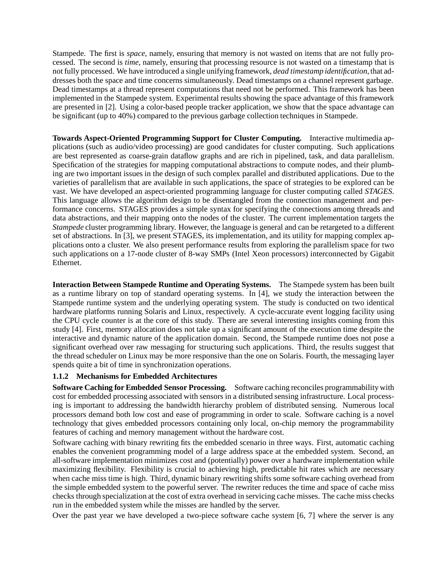Stampede. The first is *space*, namely, ensuring that memory is not wasted on items that are not fully processed. The second is *time*, namely, ensuring that processing resource is not wasted on a timestamp that is not fully processed. We have introduced a single unifying framework, *dead timestamp identification*, that addresses both the space and time concerns simultaneously. Dead timestamps on a channel represent garbage. Dead timestamps at a thread represent computations that need not be performed. This framework has been implemented in the Stampede system. Experimental results showing the space advantage of this framework are presented in [2]. Using a color-based people tracker application, we show that the space advantage can be significant (up to 40%) compared to the previous garbage collection techniques in Stampede.

**Towards Aspect-Oriented Programming Support for Cluster Computing.** Interactive multimedia applications (such as audio/video processing) are good candidates for cluster computing. Such applications are best represented as coarse-grain dataflow graphs and are rich in pipelined, task, and data parallelism. Specification of the strategies for mapping computational abstractions to compute nodes, and their plumbing are two important issues in the design of such complex parallel and distributed applications. Due to the varieties of parallelism that are available in such applications, the space of strategies to be explored can be vast. We have developed an aspect-oriented programming language for cluster computing called *STAGES*. This language allows the algorithm design to be disentangled from the connection management and performance concerns. STAGES provides a simple syntax for specifying the connections among threads and data abstractions, and their mapping onto the nodes of the cluster. The current implementation targets the *Stampede* cluster programming library. However, the language is general and can be retargeted to a different set of abstractions. In [3], we present STAGES, its implementation, and its utility for mapping complex applications onto a cluster. We also present performance results from exploring the parallelism space for two such applications on a 17-node cluster of 8-way SMPs (Intel Xeon processors) interconnected by Gigabit Ethernet.

**Interaction Between Stampede Runtime and Operating Systems.** The Stampede system has been built as a runtime library on top of standard operating systems. In [4], we study the interaction between the Stampede runtime system and the underlying operating system. The study is conducted on two identical hardware platforms running Solaris and Linux, respectively. A cycle-accurate event logging facility using the CPU cycle counter is at the core of this study. There are several interesting insights coming from this study [4]. First, memory allocation does not take up a significant amount of the execution time despite the interactive and dynamic nature of the application domain. Second, the Stampede runtime does not pose a significant overhead over raw messaging for structuring such applications. Third, the results suggest that the thread scheduler on Linux may be more responsive than the one on Solaris. Fourth, the messaging layer spends quite a bit of time in synchronization operations.

### **1.1.2 Mechanisms for Embedded Architectures**

**Software Caching for Embedded Sensor Processing.** Software caching reconciles programmability with cost for embedded processing associated with sensors in a distributed sensing infrastructure. Local processing is important to addressing the bandwidth hierarchy problem of distributed sensing. Numerous local processors demand both low cost and ease of programming in order to scale. Software caching is a novel technology that gives embedded processors containing only local, on-chip memory the programmability features of caching and memory management without the hardware cost.

Software caching with binary rewriting fits the embedded scenario in three ways. First, automatic caching enables the convenient programming model of a large address space at the embedded system. Second, an all-software implementation minimizes cost and (potentially) power over a hardware implementation while maximizing flexibility. Flexibility is crucial to achieving high, predictable hit rates which are necessary when cache miss time is high. Third, dynamic binary rewriting shifts some software caching overhead from the simple embedded system to the powerful server. The rewriter reduces the time and space of cache miss checks through specialization at the cost of extra overhead in servicing cache misses. The cache miss checks run in the embedded system while the misses are handled by the server.

Over the past year we have developed a two-piece software cache system [6, 7] where the server is any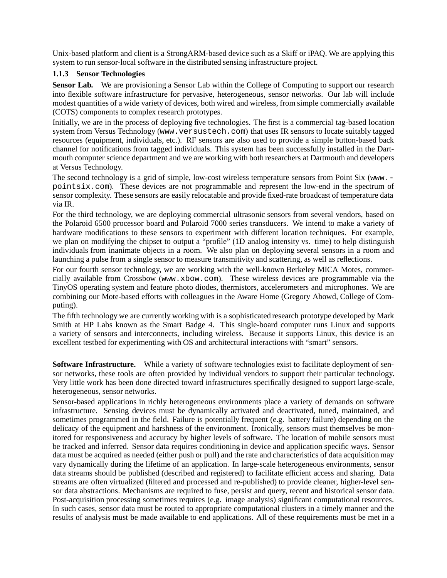Unix-based platform and client is a StrongARM-based device such as a Skiff or iPAQ. We are applying this system to run sensor-local software in the distributed sensing infrastructure project.

#### **1.1.3 Sensor Technologies**

**Sensor Lab.** We are provisioning a Sensor Lab within the College of Computing to support our research into flexible software infrastructure for pervasive, heterogeneous, sensor networks. Our lab will include modest quantities of a wide variety of devices, both wired and wireless, from simple commercially available (COTS) components to complex research prototypes.

Initially, we are in the process of deploying five technologies. The first is a commercial tag-based location system from Versus Technology (www.versustech.com) that uses IR sensors to locate suitably tagged resources (equipment, individuals, etc.). RF sensors are also used to provide a simple button-based back channel for notifications from tagged individuals. This system has been successfully installed in the Dartmouth computer science department and we are working with both researchers at Dartmouth and developers at Versus Technology.

The second technology is a grid of simple, low-cost wireless temperature sensors from Point Six (www. pointsix.com). These devices are not programmable and represent the low-end in the spectrum of sensor complexity. These sensors are easily relocatable and provide fixed-rate broadcast of temperature data via IR.

For the third technology, we are deploying commercial ultrasonic sensors from several vendors, based on the Polaroid 6500 processor board and Polaroid 7000 series transducers. We intend to make a variety of hardware modifications to these sensors to experiment with different location techniques. For example, we plan on modifying the chipset to output a "profile" (1D analog intensity vs. time) to help distinguish individuals from inanimate objects in a room. We also plan on deploying several sensors in a room and launching a pulse from a single sensor to measure transmitivity and scattering, as well as reflections.

For our fourth sensor technology, we are working with the well-known Berkeley MICA Motes, commercially available from Crossbow (www.xbow.com). These wireless devices are programmable via the TinyOS operating system and feature photo diodes, thermistors, accelerometers and microphones. We are combining our Mote-based efforts with colleagues in the Aware Home (Gregory Abowd, College of Computing).

The fifth technology we are currently working with is a sophisticated research prototype developed by Mark Smith at HP Labs known as the Smart Badge 4. This single-board computer runs Linux and supports a variety of sensors and interconnects, including wireless. Because it supports Linux, this device is an excellent testbed for experimenting with OS and architectural interactions with "smart" sensors.

**Software Infrastructure.** While a variety of software technologies exist to facilitate deployment of sensor networks, these tools are often provided by individual vendors to support their particular technology. Very little work has been done directed toward infrastructures specifically designed to support large-scale, heterogeneous, sensor networks.

Sensor-based applications in richly heterogeneous environments place a variety of demands on software infrastructure. Sensing devices must be dynamically activated and deactivated, tuned, maintained, and sometimes programmed in the field. Failure is potentially frequent (e.g. battery failure) depending on the delicacy of the equipment and harshness of the environment. Ironically, sensors must themselves be monitored for responsiveness and accuracy by higher levels of software. The location of mobile sensors must be tracked and inferred. Sensor data requires conditioning in device and application specific ways. Sensor data must be acquired as needed (either push or pull) and the rate and characteristics of data acquisition may vary dynamically during the lifetime of an application. In large-scale heterogeneous environments, sensor data streams should be published (described and registered) to facilitate efficient access and sharing. Data streams are often virtualized (filtered and processed and re-published) to provide cleaner, higher-level sensor data abstractions. Mechanisms are required to fuse, persist and query, recent and historical sensor data. Post-acquisition processing sometimes requires (e.g. image analysis) significant computational resources. In such cases, sensor data must be routed to appropriate computational clusters in a timely manner and the results of analysis must be made available to end applications. All of these requirements must be met in a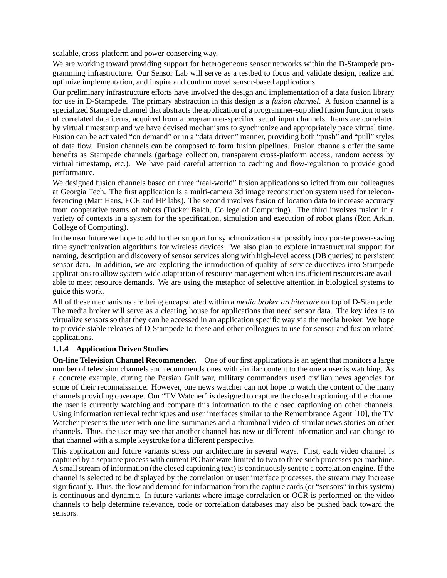scalable, cross-platform and power-conserving way.

We are working toward providing support for heterogeneous sensor networks within the D-Stampede programming infrastructure. Our Sensor Lab will serve as a testbed to focus and validate design, realize and optimize implementation, and inspire and confirm novel sensor-based applications.

Our preliminary infrastructure efforts have involved the design and implementation of a data fusion library for use in D-Stampede. The primary abstraction in this design is a *fusion channel*. A fusion channel is a specialized Stampede channel that abstracts the application of a programmer-supplied fusion function to sets of correlated data items, acquired from a programmer-specified set of input channels. Items are correlated by virtual timestamp and we have devised mechanisms to synchronize and appropriately pace virtual time. Fusion can be activated "on demand" or in a "data driven" manner, providing both "push" and "pull" styles of data flow. Fusion channels can be composed to form fusion pipelines. Fusion channels offer the same benefits as Stampede channels (garbage collection, transparent cross-platform access, random access by virtual timestamp, etc.). We have paid careful attention to caching and flow-regulation to provide good performance.

We designed fusion channels based on three "real-world" fusion applications solicited from our colleagues at Georgia Tech. The first application is a multi-camera 3d image reconstruction system used for teleconferencing (Matt Hans, ECE and HP labs). The second involves fusion of location data to increase accuracy from cooperative teams of robots (Tucker Balch, College of Computing). The third involves fusion in a variety of contexts in a system for the specification, simulation and execution of robot plans (Ron Arkin, College of Computing).

In the near future we hope to add further support for synchronization and possibly incorporate power-saving time synchronization algorithms for wireless devices. We also plan to explore infrastructural support for naming, description and discovery of sensor services along with high-level access (DB queries) to persistent sensor data. In addition, we are exploring the introduction of quality-of-service directives into Stampede applications to allow system-wide adaptation of resource management when insufficient resources are available to meet resource demands. We are using the metaphor of selective attention in biological systems to guide this work.

All of these mechanisms are being encapsulated within a *media broker architecture* on top of D-Stampede. The media broker will serve as a clearing house for applications that need sensor data. The key idea is to virtualize sensors so that they can be accessed in an application specific way via the media broker. We hope to provide stable releases of D-Stampede to these and other colleagues to use for sensor and fusion related applications.

#### **1.1.4 Application Driven Studies**

**On-line Television Channel Recommender.** One of our first applications is an agent that monitors a large number of television channels and recommends ones with similar content to the one a user is watching. As a concrete example, during the Persian Gulf war, military commanders used civilian news agencies for some of their reconnaissance. However, one news watcher can not hope to watch the content of the many channels providing coverage. Our "TV Watcher" is designed to capture the closed captioning of the channel the user is currently watching and compare this information to the closed captioning on other channels. Using information retrieval techniques and user interfaces similar to the Remembrance Agent [10], the TV Watcher presents the user with one line summaries and a thumbnail video of similar news stories on other channels. Thus, the user may see that another channel has new or different information and can change to that channel with a simple keystroke for a different perspective.

This application and future variants stress our architecture in several ways. First, each video channel is captured by a separate process with current PC hardware limited to two to three such processes per machine. A small stream of information (the closed captioning text) is continuously sent to a correlation engine. If the channel is selected to be displayed by the correlation or user interface processes, the stream may increase significantly. Thus, the flow and demand for information from the capture cards (or "sensors" in this system) is continuous and dynamic. In future variants where image correlation or OCR is performed on the video channels to help determine relevance, code or correlation databases may also be pushed back toward the sensors.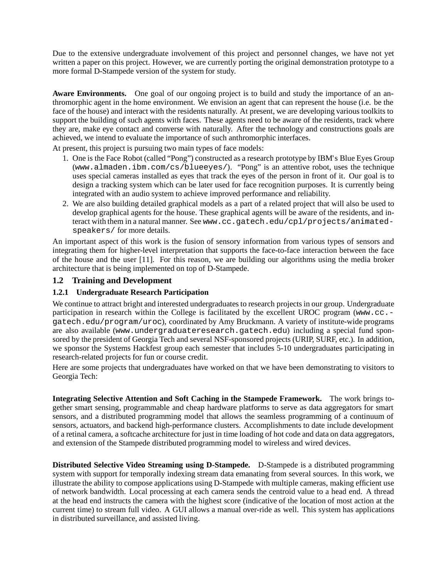Due to the extensive undergraduate involvement of this project and personnel changes, we have not yet written a paper on this project. However, we are currently porting the original demonstration prototype to a more formal D-Stampede version of the system for study.

**Aware Environments.** One goal of our ongoing project is to build and study the importance of an anthromorphic agent in the home environment. We envision an agent that can represent the house (i.e. be the face of the house) and interact with the residents naturally. At present, we are developing various toolkits to support the building of such agents with faces. These agents need to be aware of the residents, track where they are, make eye contact and converse with naturally. After the technology and constructions goals are achieved, we intend to evaluate the importance of such anthromorphic interfaces.

At present, this project is pursuing two main types of face models:

- 1. One is the Face Robot (called "Pong") constructed as a research prototype by IBM's Blue Eyes Group (www.almaden.ibm.com/cs/blueeyes/). "Pong" is an attentive robot, uses the technique uses special cameras installed as eyes that track the eyes of the person in front of it. Our goal is to design a tracking system which can be later used for face recognition purposes. It is currently being integrated with an audio system to achieve improved performance and reliability.
- 2. We are also building detailed graphical models as a part of a related project that will also be used to develop graphical agents for the house. These graphical agents will be aware of the residents, and interact with them in a natural manner. See www.cc.gatech.edu/cpl/projects/animatedspeakers/ for more details.

An important aspect of this work is the fusion of sensory information from various types of sensors and integrating them for higher-level interpretation that supports the face-to-face interaction between the face of the house and the user [11]. For this reason, we are building our algorithms using the media broker architecture that is being implemented on top of D-Stampede.

### **1.2 Training and Development**

### **1.2.1 Undergraduate Research Participation**

We continue to attract bright and interested undergraduates to research projects in our group. Undergraduate participation in research within the College is facilitated by the excellent UROC program (www.cc. gatech.edu/program/uroc), coordinated by Amy Bruckmann. A variety of institute-wide programs are also available (www.undergraduateresearch.gatech.edu) including a special fund sponsored by the president of Georgia Tech and several NSF-sponsored projects (URIP, SURF, etc.). In addition, we sponsor the Systems Hackfest group each semester that includes 5-10 undergraduates participating in research-related projects for fun or course credit.

Here are some projects that undergraduates have worked on that we have been demonstrating to visitors to Georgia Tech:

**Integrating Selective Attention and Soft Caching in the Stampede Framework.** The work brings together smart sensing, programmable and cheap hardware platforms to serve as data aggregators for smart sensors, and a distributed programming model that allows the seamless programming of a continuum of sensors, actuators, and backend high-performance clusters. Accomplishments to date include development of a retinal camera, a softcache architecture for just in time loading of hot code and data on data aggregators, and extension of the Stampede distributed programming model to wireless and wired devices.

**Distributed Selective Video Streaming using D-Stampede.** D-Stampede is a distributed programming system with support for temporally indexing stream data emanating from several sources. In this work, we illustrate the ability to compose applications using D-Stampede with multiple cameras, making efficient use of network bandwidth. Local processing at each camera sends the centroid value to a head end. A thread at the head end instructs the camera with the highest score (indicative of the location of most action at the current time) to stream full video. A GUI allows a manual over-ride as well. This system has applications in distributed surveillance, and assisted living.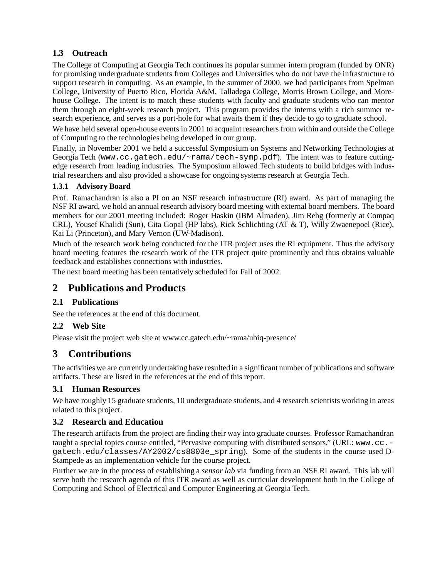### **1.3 Outreach**

The College of Computing at Georgia Tech continues its popular summer intern program (funded by ONR) for promising undergraduate students from Colleges and Universities who do not have the infrastructure to support research in computing. As an example, in the summer of 2000, we had participants from Spelman College, University of Puerto Rico, Florida A&M, Talladega College, Morris Brown College, and Morehouse College. The intent is to match these students with faculty and graduate students who can mentor them through an eight-week research project. This program provides the interns with a rich summer research experience, and serves as a port-hole for what awaits them if they decide to go to graduate school.

We have held several open-house events in 2001 to acquaint researchers from within and outside the College of Computing to the technologies being developed in our group.

Finally, in November 2001 we held a successful Symposium on Systems and Networking Technologies at Georgia Tech (www.cc.gatech.edu/~rama/tech-symp.pdf). The intent was to feature cuttingedge research from leading industries. The Symposium allowed Tech students to build bridges with industrial researchers and also provided a showcase for ongoing systems research at Georgia Tech.

### **1.3.1 Advisory Board**

Prof. Ramachandran is also a PI on an NSF research infrastructure (RI) award. As part of managing the NSF RI award, we hold an annual research advisory board meeting with external board members. The board members for our 2001 meeting included: Roger Haskin (IBM Almaden), Jim Rehg (formerly at Compaq CRL), Yousef Khalidi (Sun), Gita Gopal (HP labs), Rick Schlichting (AT & T), Willy Zwaenepoel (Rice), Kai Li (Princeton), and Mary Vernon (UW-Madison).

Much of the research work being conducted for the ITR project uses the RI equipment. Thus the advisory board meeting features the research work of the ITR project quite prominently and thus obtains valuable feedback and establishes connections with industries.

The next board meeting has been tentatively scheduled for Fall of 2002.

## **2 Publications and Products**

### **2.1 Publications**

See the references at the end of this document.

### **2.2 Web Site**

Please visit the project web site at www.cc.gatech.edu/~rama/ubiq-presence/

# **3 Contributions**

The activities we are currently undertaking have resulted in a significant number of publications and software artifacts. These are listed in the references at the end of this report.

### **3.1 Human Resources**

We have roughly 15 graduate students, 10 undergraduate students, and 4 research scientists working in areas related to this project.

### **3.2 Research and Education**

The research artifacts from the project are finding their way into graduate courses. Professor Ramachandran taught a special topics course entitled, "Pervasive computing with distributed sensors," (URL: www.cc. gatech.edu/classes/AY2002/cs8803e\_spring). Some of the students in the course used D-Stampede as an implementation vehicle for the course project.

Further we are in the process of establishing a *sensor lab* via funding from an NSF RI award. This lab will serve both the research agenda of this ITR award as well as curricular development both in the College of Computing and School of Electrical and Computer Engineering at Georgia Tech.